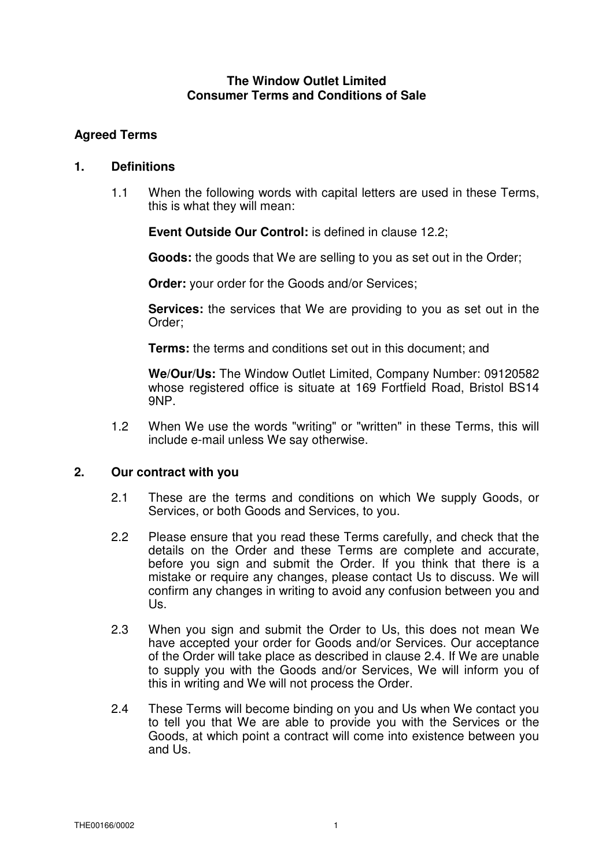### **The Window Outlet Limited Consumer Terms and Conditions of Sale**

# **Agreed Terms**

## **1. Definitions**

1.1 When the following words with capital letters are used in these Terms, this is what they will mean:

**Event Outside Our Control:** is defined in clause 12.2;

**Goods:** the goods that We are selling to you as set out in the Order;

**Order:** your order for the Goods and/or Services;

**Services:** the services that We are providing to you as set out in the Order;

**Terms:** the terms and conditions set out in this document; and

**We/Our/Us:** The Window Outlet Limited, Company Number: 09120582 whose registered office is situate at 169 Fortfield Road, Bristol BS14 9NP.

1.2 When We use the words "writing" or "written" in these Terms, this will include e-mail unless We say otherwise.

## **2. Our contract with you**

- 2.1 These are the terms and conditions on which We supply Goods, or Services, or both Goods and Services, to you.
- 2.2 Please ensure that you read these Terms carefully, and check that the details on the Order and these Terms are complete and accurate, before you sign and submit the Order. If you think that there is a mistake or require any changes, please contact Us to discuss. We will confirm any changes in writing to avoid any confusion between you and Us.
- 2.3 When you sign and submit the Order to Us, this does not mean We have accepted your order for Goods and/or Services. Our acceptance of the Order will take place as described in clause 2.4. If We are unable to supply you with the Goods and/or Services, We will inform you of this in writing and We will not process the Order.
- 2.4 These Terms will become binding on you and Us when We contact you to tell you that We are able to provide you with the Services or the Goods, at which point a contract will come into existence between you and Us.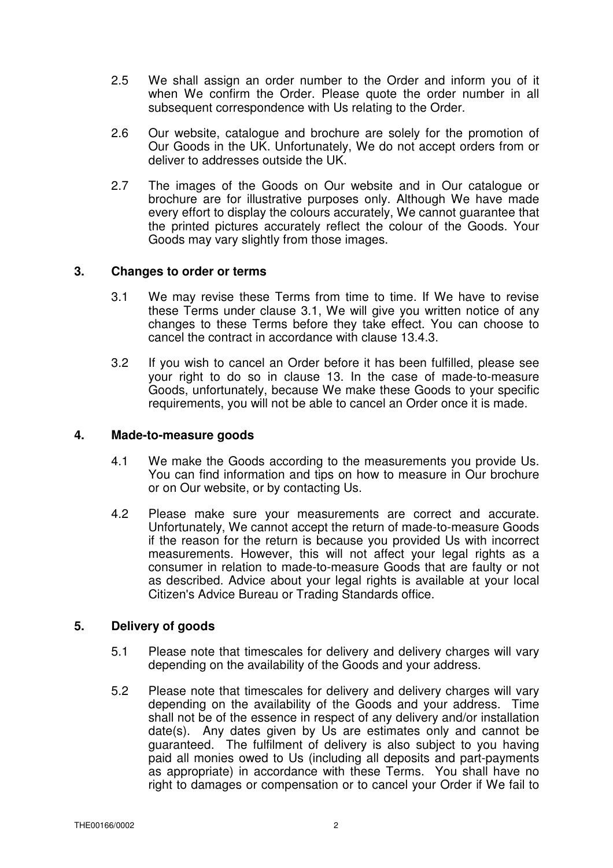- 2.5 We shall assign an order number to the Order and inform you of it when We confirm the Order. Please quote the order number in all subsequent correspondence with Us relating to the Order.
- 2.6 Our website, catalogue and brochure are solely for the promotion of Our Goods in the UK. Unfortunately, We do not accept orders from or deliver to addresses outside the UK.
- 2.7 The images of the Goods on Our website and in Our catalogue or brochure are for illustrative purposes only. Although We have made every effort to display the colours accurately, We cannot guarantee that the printed pictures accurately reflect the colour of the Goods. Your Goods may vary slightly from those images.

## **3. Changes to order or terms**

- 3.1 We may revise these Terms from time to time. If We have to revise these Terms under clause 3.1, We will give you written notice of any changes to these Terms before they take effect. You can choose to cancel the contract in accordance with clause 13.4.3.
- 3.2 If you wish to cancel an Order before it has been fulfilled, please see your right to do so in clause 13. In the case of made-to-measure Goods, unfortunately, because We make these Goods to your specific requirements, you will not be able to cancel an Order once it is made.

#### **4. Made-to-measure goods**

- 4.1 We make the Goods according to the measurements you provide Us. You can find information and tips on how to measure in Our brochure or on Our website, or by contacting Us.
- 4.2 Please make sure your measurements are correct and accurate. Unfortunately, We cannot accept the return of made-to-measure Goods if the reason for the return is because you provided Us with incorrect measurements. However, this will not affect your legal rights as a consumer in relation to made-to-measure Goods that are faulty or not as described. Advice about your legal rights is available at your local Citizen's Advice Bureau or Trading Standards office.

#### **5. Delivery of goods**

- 5.1 Please note that timescales for delivery and delivery charges will vary depending on the availability of the Goods and your address.
- 5.2 Please note that timescales for delivery and delivery charges will vary depending on the availability of the Goods and your address. Time shall not be of the essence in respect of any delivery and/or installation date(s). Any dates given by Us are estimates only and cannot be guaranteed. The fulfilment of delivery is also subject to you having paid all monies owed to Us (including all deposits and part-payments as appropriate) in accordance with these Terms. You shall have no right to damages or compensation or to cancel your Order if We fail to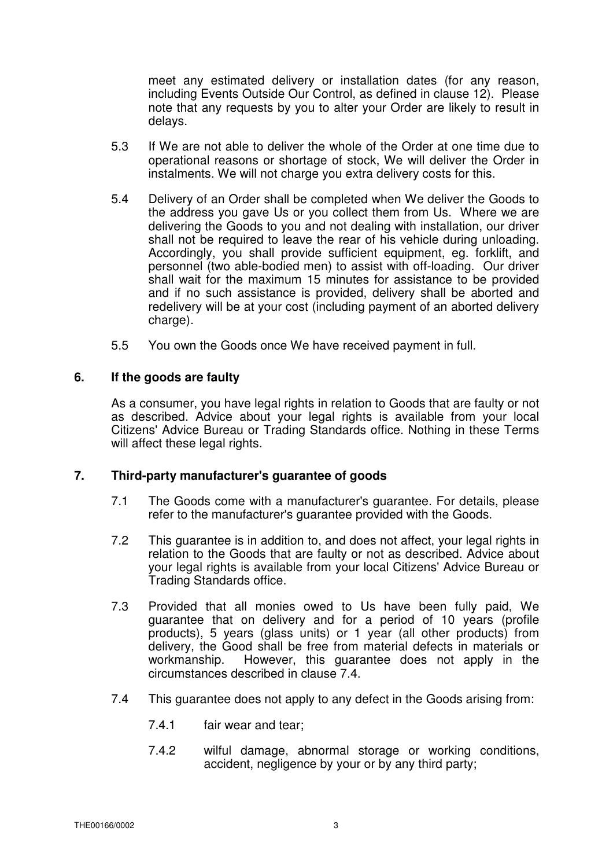meet any estimated delivery or installation dates (for any reason, including Events Outside Our Control, as defined in clause 12). Please note that any requests by you to alter your Order are likely to result in delays.

- 5.3 If We are not able to deliver the whole of the Order at one time due to operational reasons or shortage of stock, We will deliver the Order in instalments. We will not charge you extra delivery costs for this.
- 5.4 Delivery of an Order shall be completed when We deliver the Goods to the address you gave Us or you collect them from Us. Where we are delivering the Goods to you and not dealing with installation, our driver shall not be required to leave the rear of his vehicle during unloading. Accordingly, you shall provide sufficient equipment, eg. forklift, and personnel (two able-bodied men) to assist with off-loading. Our driver shall wait for the maximum 15 minutes for assistance to be provided and if no such assistance is provided, delivery shall be aborted and redelivery will be at your cost (including payment of an aborted delivery charge).
- 5.5 You own the Goods once We have received payment in full.

## **6. If the goods are faulty**

As a consumer, you have legal rights in relation to Goods that are faulty or not as described. Advice about your legal rights is available from your local Citizens' Advice Bureau or Trading Standards office. Nothing in these Terms will affect these legal rights.

## **7. Third-party manufacturer's guarantee of goods**

- 7.1 The Goods come with a manufacturer's guarantee. For details, please refer to the manufacturer's guarantee provided with the Goods.
- 7.2 This guarantee is in addition to, and does not affect, your legal rights in relation to the Goods that are faulty or not as described. Advice about your legal rights is available from your local Citizens' Advice Bureau or Trading Standards office.
- 7.3 Provided that all monies owed to Us have been fully paid, We guarantee that on delivery and for a period of 10 years (profile products), 5 years (glass units) or 1 year (all other products) from delivery, the Good shall be free from material defects in materials or workmanship. However, this guarantee does not apply in the circumstances described in clause 7.4.
- 7.4 This guarantee does not apply to any defect in the Goods arising from:
	- 7.4.1 fair wear and tear;
	- 7.4.2 wilful damage, abnormal storage or working conditions, accident, negligence by your or by any third party;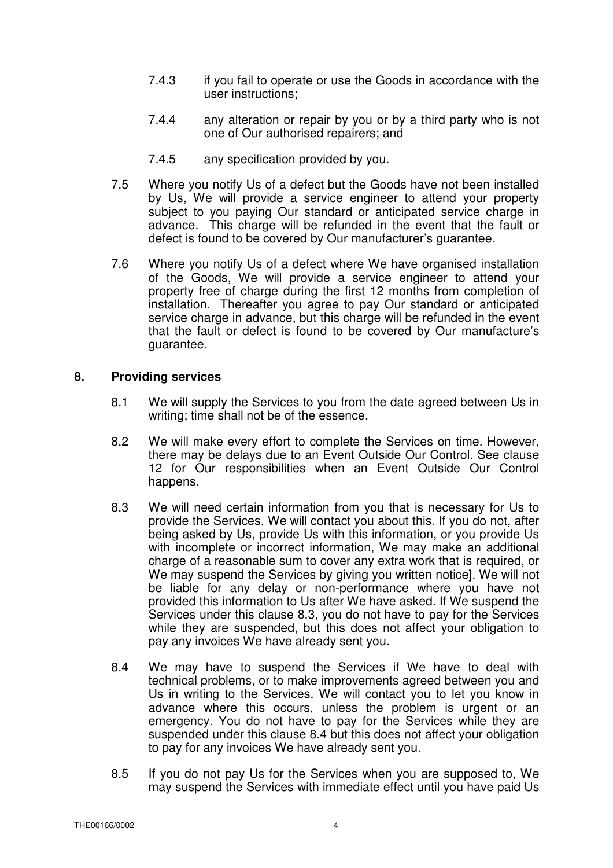- 7.4.3 if you fail to operate or use the Goods in accordance with the user instructions;
- 7.4.4 any alteration or repair by you or by a third party who is not one of Our authorised repairers; and
- 7.4.5 any specification provided by you.
- 7.5 Where you notify Us of a defect but the Goods have not been installed by Us, We will provide a service engineer to attend your property subject to you paying Our standard or anticipated service charge in advance. This charge will be refunded in the event that the fault or defect is found to be covered by Our manufacturer's guarantee.
- 7.6 Where you notify Us of a defect where We have organised installation of the Goods, We will provide a service engineer to attend your property free of charge during the first 12 months from completion of installation. Thereafter you agree to pay Our standard or anticipated service charge in advance, but this charge will be refunded in the event that the fault or defect is found to be covered by Our manufacture's guarantee.

## **8. Providing services**

- 8.1 We will supply the Services to you from the date agreed between Us in writing; time shall not be of the essence.
- 8.2 We will make every effort to complete the Services on time. However, there may be delays due to an Event Outside Our Control. See clause 12 for Our responsibilities when an Event Outside Our Control happens.
- 8.3 We will need certain information from you that is necessary for Us to provide the Services. We will contact you about this. If you do not, after being asked by Us, provide Us with this information, or you provide Us with incomplete or incorrect information. We may make an additional charge of a reasonable sum to cover any extra work that is required, or We may suspend the Services by giving you written notice]. We will not be liable for any delay or non-performance where you have not provided this information to Us after We have asked. If We suspend the Services under this clause 8.3, you do not have to pay for the Services while they are suspended, but this does not affect your obligation to pay any invoices We have already sent you.
- 8.4 We may have to suspend the Services if We have to deal with technical problems, or to make improvements agreed between you and Us in writing to the Services. We will contact you to let you know in advance where this occurs, unless the problem is urgent or an emergency. You do not have to pay for the Services while they are suspended under this clause 8.4 but this does not affect your obligation to pay for any invoices We have already sent you.
- 8.5 If you do not pay Us for the Services when you are supposed to, We may suspend the Services with immediate effect until you have paid Us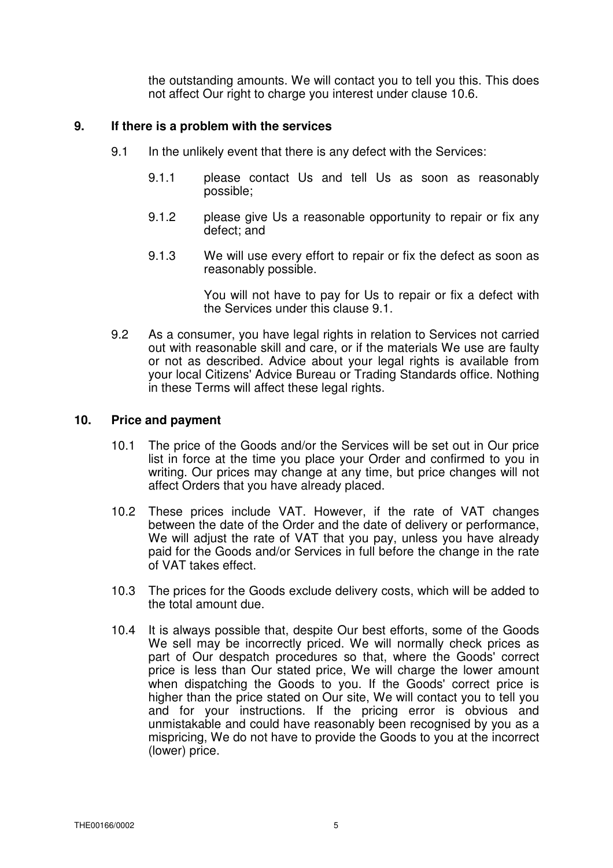the outstanding amounts. We will contact you to tell you this. This does not affect Our right to charge you interest under clause 10.6.

### **9. If there is a problem with the services**

- 9.1 In the unlikely event that there is any defect with the Services:
	- 9.1.1 please contact Us and tell Us as soon as reasonably possible;
	- 9.1.2 please give Us a reasonable opportunity to repair or fix any defect; and
	- 9.1.3 We will use every effort to repair or fix the defect as soon as reasonably possible.

You will not have to pay for Us to repair or fix a defect with the Services under this clause 9.1.

9.2 As a consumer, you have legal rights in relation to Services not carried out with reasonable skill and care, or if the materials We use are faulty or not as described. Advice about your legal rights is available from your local Citizens' Advice Bureau or Trading Standards office. Nothing in these Terms will affect these legal rights.

### **10. Price and payment**

- 10.1 The price of the Goods and/or the Services will be set out in Our price list in force at the time you place your Order and confirmed to you in writing. Our prices may change at any time, but price changes will not affect Orders that you have already placed.
- 10.2 These prices include VAT. However, if the rate of VAT changes between the date of the Order and the date of delivery or performance, We will adjust the rate of VAT that you pay, unless you have already paid for the Goods and/or Services in full before the change in the rate of VAT takes effect.
- 10.3 The prices for the Goods exclude delivery costs, which will be added to the total amount due.
- 10.4 It is always possible that, despite Our best efforts, some of the Goods We sell may be incorrectly priced. We will normally check prices as part of Our despatch procedures so that, where the Goods' correct price is less than Our stated price, We will charge the lower amount when dispatching the Goods to you. If the Goods' correct price is higher than the price stated on Our site, We will contact you to tell you and for your instructions. If the pricing error is obvious and unmistakable and could have reasonably been recognised by you as a mispricing, We do not have to provide the Goods to you at the incorrect (lower) price.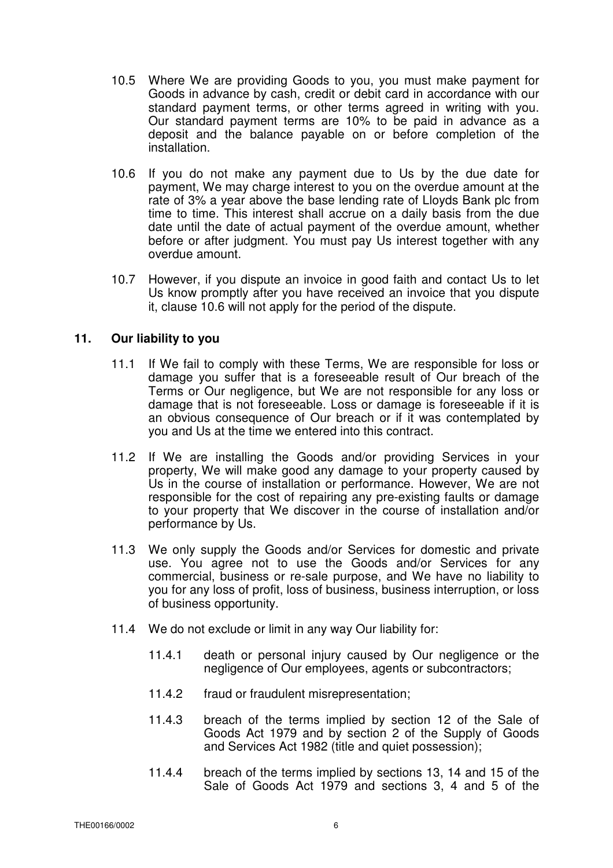- 10.5 Where We are providing Goods to you, you must make payment for Goods in advance by cash, credit or debit card in accordance with our standard payment terms, or other terms agreed in writing with you. Our standard payment terms are 10% to be paid in advance as a deposit and the balance payable on or before completion of the installation.
- 10.6 If you do not make any payment due to Us by the due date for payment, We may charge interest to you on the overdue amount at the rate of 3% a year above the base lending rate of Lloyds Bank plc from time to time. This interest shall accrue on a daily basis from the due date until the date of actual payment of the overdue amount, whether before or after judgment. You must pay Us interest together with any overdue amount.
- 10.7 However, if you dispute an invoice in good faith and contact Us to let Us know promptly after you have received an invoice that you dispute it, clause 10.6 will not apply for the period of the dispute.

## **11. Our liability to you**

- 11.1 If We fail to comply with these Terms, We are responsible for loss or damage you suffer that is a foreseeable result of Our breach of the Terms or Our negligence, but We are not responsible for any loss or damage that is not foreseeable. Loss or damage is foreseeable if it is an obvious consequence of Our breach or if it was contemplated by you and Us at the time we entered into this contract.
- 11.2 If We are installing the Goods and/or providing Services in your property, We will make good any damage to your property caused by Us in the course of installation or performance. However, We are not responsible for the cost of repairing any pre-existing faults or damage to your property that We discover in the course of installation and/or performance by Us.
- 11.3 We only supply the Goods and/or Services for domestic and private use. You agree not to use the Goods and/or Services for any commercial, business or re-sale purpose, and We have no liability to you for any loss of profit, loss of business, business interruption, or loss of business opportunity.
- 11.4 We do not exclude or limit in any way Our liability for:
	- 11.4.1 death or personal injury caused by Our negligence or the negligence of Our employees, agents or subcontractors;
	- 11.4.2 fraud or fraudulent misrepresentation;
	- 11.4.3 breach of the terms implied by section 12 of the Sale of Goods Act 1979 and by section 2 of the Supply of Goods and Services Act 1982 (title and quiet possession);
	- 11.4.4 breach of the terms implied by sections 13, 14 and 15 of the Sale of Goods Act 1979 and sections 3, 4 and 5 of the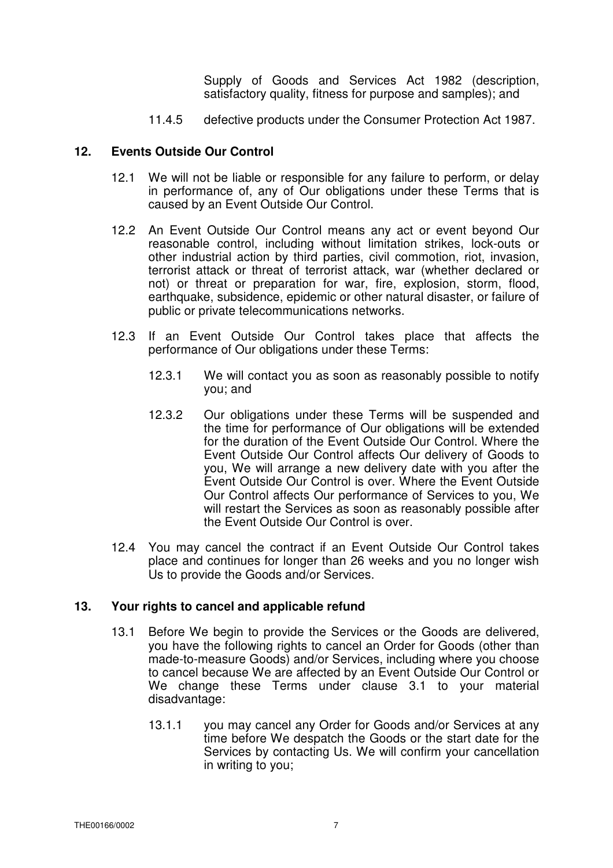Supply of Goods and Services Act 1982 (description, satisfactory quality, fitness for purpose and samples); and

11.4.5 defective products under the Consumer Protection Act 1987.

#### **12. Events Outside Our Control**

- 12.1 We will not be liable or responsible for any failure to perform, or delay in performance of, any of Our obligations under these Terms that is caused by an Event Outside Our Control.
- 12.2 An Event Outside Our Control means any act or event beyond Our reasonable control, including without limitation strikes, lock-outs or other industrial action by third parties, civil commotion, riot, invasion, terrorist attack or threat of terrorist attack, war (whether declared or not) or threat or preparation for war, fire, explosion, storm, flood, earthquake, subsidence, epidemic or other natural disaster, or failure of public or private telecommunications networks.
- 12.3 If an Event Outside Our Control takes place that affects the performance of Our obligations under these Terms:
	- 12.3.1 We will contact you as soon as reasonably possible to notify you; and
	- 12.3.2 Our obligations under these Terms will be suspended and the time for performance of Our obligations will be extended for the duration of the Event Outside Our Control. Where the Event Outside Our Control affects Our delivery of Goods to you, We will arrange a new delivery date with you after the Event Outside Our Control is over. Where the Event Outside Our Control affects Our performance of Services to you, We will restart the Services as soon as reasonably possible after the Event Outside Our Control is over.
- 12.4 You may cancel the contract if an Event Outside Our Control takes place and continues for longer than 26 weeks and you no longer wish Us to provide the Goods and/or Services.

## **13. Your rights to cancel and applicable refund**

- 13.1 Before We begin to provide the Services or the Goods are delivered, you have the following rights to cancel an Order for Goods (other than made-to-measure Goods) and/or Services, including where you choose to cancel because We are affected by an Event Outside Our Control or We change these Terms under clause 3.1 to your material disadvantage:
	- 13.1.1 you may cancel any Order for Goods and/or Services at any time before We despatch the Goods or the start date for the Services by contacting Us. We will confirm your cancellation in writing to you;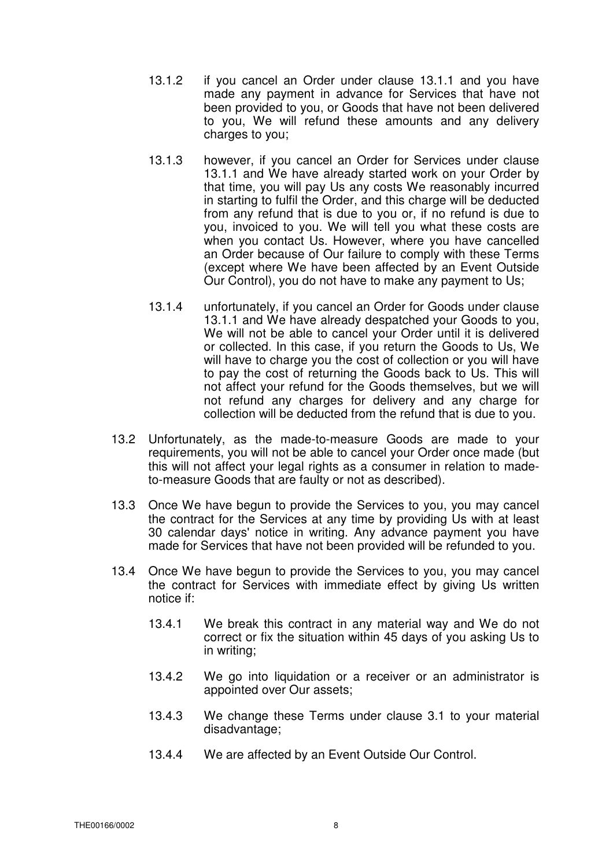- 13.1.2 if you cancel an Order under clause 13.1.1 and you have made any payment in advance for Services that have not been provided to you, or Goods that have not been delivered to you, We will refund these amounts and any delivery charges to you;
- 13.1.3 however, if you cancel an Order for Services under clause 13.1.1 and We have already started work on your Order by that time, you will pay Us any costs We reasonably incurred in starting to fulfil the Order, and this charge will be deducted from any refund that is due to you or, if no refund is due to you, invoiced to you. We will tell you what these costs are when you contact Us. However, where you have cancelled an Order because of Our failure to comply with these Terms (except where We have been affected by an Event Outside Our Control), you do not have to make any payment to Us;
- 13.1.4 unfortunately, if you cancel an Order for Goods under clause 13.1.1 and We have already despatched your Goods to you, We will not be able to cancel your Order until it is delivered or collected. In this case, if you return the Goods to Us, We will have to charge you the cost of collection or you will have to pay the cost of returning the Goods back to Us. This will not affect your refund for the Goods themselves, but we will not refund any charges for delivery and any charge for collection will be deducted from the refund that is due to you.
- 13.2 Unfortunately, as the made-to-measure Goods are made to your requirements, you will not be able to cancel your Order once made (but this will not affect your legal rights as a consumer in relation to madeto-measure Goods that are faulty or not as described).
- 13.3 Once We have begun to provide the Services to you, you may cancel the contract for the Services at any time by providing Us with at least 30 calendar days' notice in writing. Any advance payment you have made for Services that have not been provided will be refunded to you.
- 13.4 Once We have begun to provide the Services to you, you may cancel the contract for Services with immediate effect by giving Us written notice if:
	- 13.4.1 We break this contract in any material way and We do not correct or fix the situation within 45 days of you asking Us to in writing;
	- 13.4.2 We go into liquidation or a receiver or an administrator is appointed over Our assets;
	- 13.4.3 We change these Terms under clause 3.1 to your material disadvantage;
	- 13.4.4 We are affected by an Event Outside Our Control.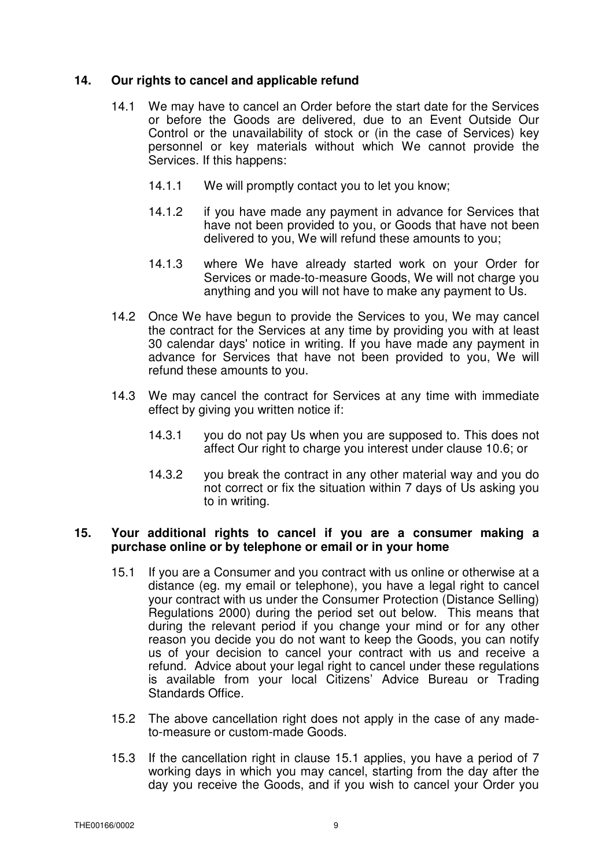### **14. Our rights to cancel and applicable refund**

- 14.1 We may have to cancel an Order before the start date for the Services or before the Goods are delivered, due to an Event Outside Our Control or the unavailability of stock or (in the case of Services) key personnel or key materials without which We cannot provide the Services. If this happens:
	- 14.1.1 We will promptly contact you to let you know;
	- 14.1.2 if you have made any payment in advance for Services that have not been provided to you, or Goods that have not been delivered to you, We will refund these amounts to you;
	- 14.1.3 where We have already started work on your Order for Services or made-to-measure Goods, We will not charge you anything and you will not have to make any payment to Us.
- 14.2 Once We have begun to provide the Services to you, We may cancel the contract for the Services at any time by providing you with at least 30 calendar days' notice in writing. If you have made any payment in advance for Services that have not been provided to you, We will refund these amounts to you.
- 14.3 We may cancel the contract for Services at any time with immediate effect by giving you written notice if:
	- 14.3.1 you do not pay Us when you are supposed to. This does not affect Our right to charge you interest under clause 10.6; or
	- 14.3.2 you break the contract in any other material way and you do not correct or fix the situation within 7 days of Us asking you to in writing.

### **15. Your additional rights to cancel if you are a consumer making a purchase online or by telephone or email or in your home**

- 15.1 If you are a Consumer and you contract with us online or otherwise at a distance (eg. my email or telephone), you have a legal right to cancel your contract with us under the Consumer Protection (Distance Selling) Regulations 2000) during the period set out below. This means that during the relevant period if you change your mind or for any other reason you decide you do not want to keep the Goods, you can notify us of your decision to cancel your contract with us and receive a refund. Advice about your legal right to cancel under these regulations is available from your local Citizens' Advice Bureau or Trading Standards Office.
- 15.2 The above cancellation right does not apply in the case of any madeto-measure or custom-made Goods.
- 15.3 If the cancellation right in clause 15.1 applies, you have a period of 7 working days in which you may cancel, starting from the day after the day you receive the Goods, and if you wish to cancel your Order you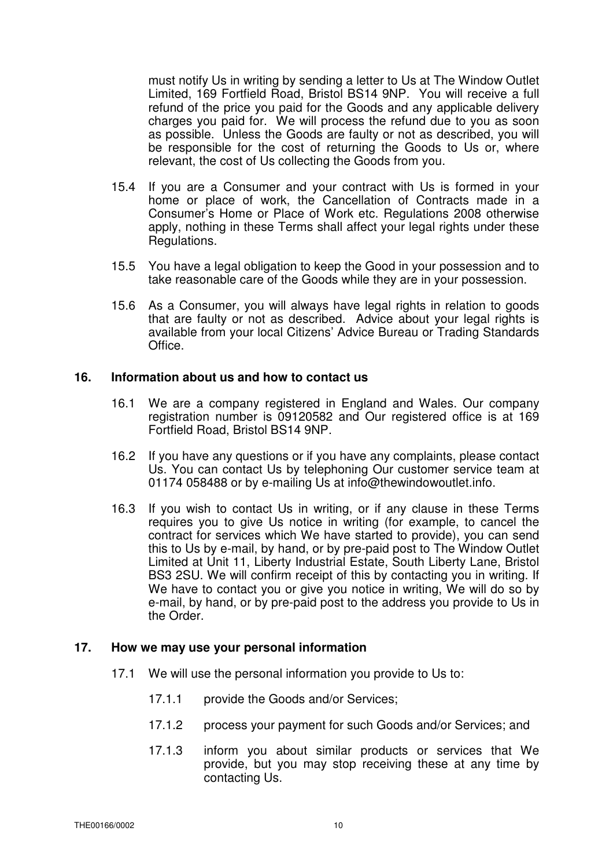must notify Us in writing by sending a letter to Us at The Window Outlet Limited, 169 Fortfield Road, Bristol BS14 9NP. You will receive a full refund of the price you paid for the Goods and any applicable delivery charges you paid for. We will process the refund due to you as soon as possible. Unless the Goods are faulty or not as described, you will be responsible for the cost of returning the Goods to Us or, where relevant, the cost of Us collecting the Goods from you.

- 15.4 If you are a Consumer and your contract with Us is formed in your home or place of work, the Cancellation of Contracts made in a Consumer's Home or Place of Work etc. Regulations 2008 otherwise apply, nothing in these Terms shall affect your legal rights under these Regulations.
- 15.5 You have a legal obligation to keep the Good in your possession and to take reasonable care of the Goods while they are in your possession.
- 15.6 As a Consumer, you will always have legal rights in relation to goods that are faulty or not as described. Advice about your legal rights is available from your local Citizens' Advice Bureau or Trading Standards Office.

### **16. Information about us and how to contact us**

- 16.1 We are a company registered in England and Wales. Our company registration number is 09120582 and Our registered office is at 169 Fortfield Road, Bristol BS14 9NP.
- 16.2 If you have any questions or if you have any complaints, please contact Us. You can contact Us by telephoning Our customer service team at 01174 058488 or by e-mailing Us at info@thewindowoutlet.info.
- 16.3 If you wish to contact Us in writing, or if any clause in these Terms requires you to give Us notice in writing (for example, to cancel the contract for services which We have started to provide), you can send this to Us by e-mail, by hand, or by pre-paid post to The Window Outlet Limited at Unit 11, Liberty Industrial Estate, South Liberty Lane, Bristol BS3 2SU. We will confirm receipt of this by contacting you in writing. If We have to contact you or give you notice in writing, We will do so by e-mail, by hand, or by pre-paid post to the address you provide to Us in the Order.

## **17. How we may use your personal information**

- 17.1 We will use the personal information you provide to Us to:
	- 17.1.1 provide the Goods and/or Services;
	- 17.1.2 process your payment for such Goods and/or Services; and
	- 17.1.3 inform you about similar products or services that We provide, but you may stop receiving these at any time by contacting Us.